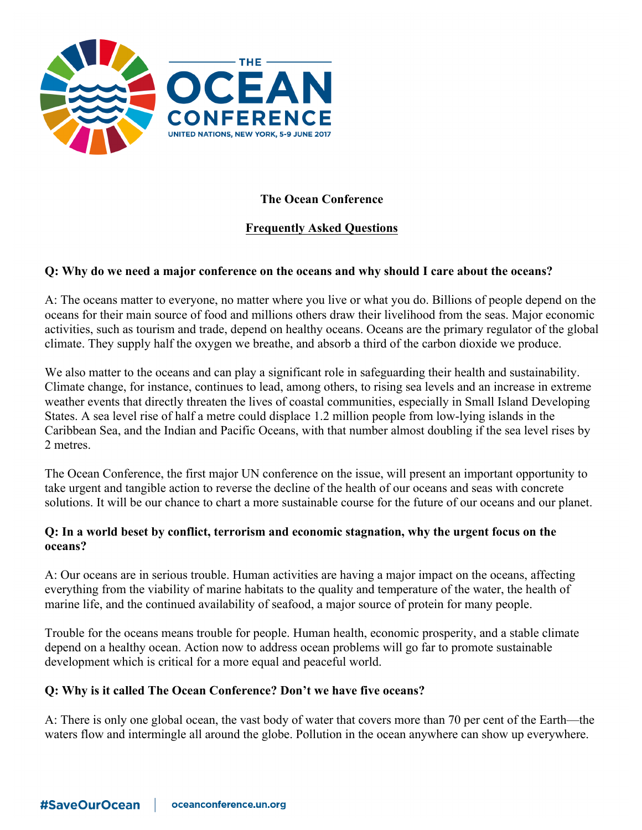

# **The Ocean Conference**

# **Frequently Asked Questions**

### **Q: Why do we need a major conference on the oceans and why should I care about the oceans?**

A: The oceans matter to everyone, no matter where you live or what you do. Billions of people depend on the oceans for their main source of food and millions others draw their livelihood from the seas. Major economic activities, such as tourism and trade, depend on healthy oceans. Oceans are the primary regulator of the global climate. They supply half the oxygen we breathe, and absorb a third of the carbon dioxide we produce.

We also matter to the oceans and can play a significant role in safeguarding their health and sustainability. Climate change, for instance, continues to lead, among others, to rising sea levels and an increase in extreme weather events that directly threaten the lives of coastal communities, especially in Small Island Developing States. A sea level rise of half a metre could displace 1.2 million people from low-lying islands in the Caribbean Sea, and the Indian and Pacific Oceans, with that number almost doubling if the sea level rises by 2 metres.

The Ocean Conference, the first major UN conference on the issue, will present an important opportunity to take urgent and tangible action to reverse the decline of the health of our oceans and seas with concrete solutions. It will be our chance to chart a more sustainable course for the future of our oceans and our planet.

#### **Q: In a world beset by conflict, terrorism and economic stagnation, why the urgent focus on the oceans?**

A: Our oceans are in serious trouble. Human activities are having a major impact on the oceans, affecting everything from the viability of marine habitats to the quality and temperature of the water, the health of marine life, and the continued availability of seafood, a major source of protein for many people.

Trouble for the oceans means trouble for people. Human health, economic prosperity, and a stable climate depend on a healthy ocean. Action now to address ocean problems will go far to promote sustainable development which is critical for a more equal and peaceful world.

#### **Q: Why is it called The Ocean Conference? Don't we have five oceans?**

A: There is only one global ocean, the vast body of water that covers more than 70 per cent of the Earth—the waters flow and intermingle all around the globe. Pollution in the ocean anywhere can show up everywhere.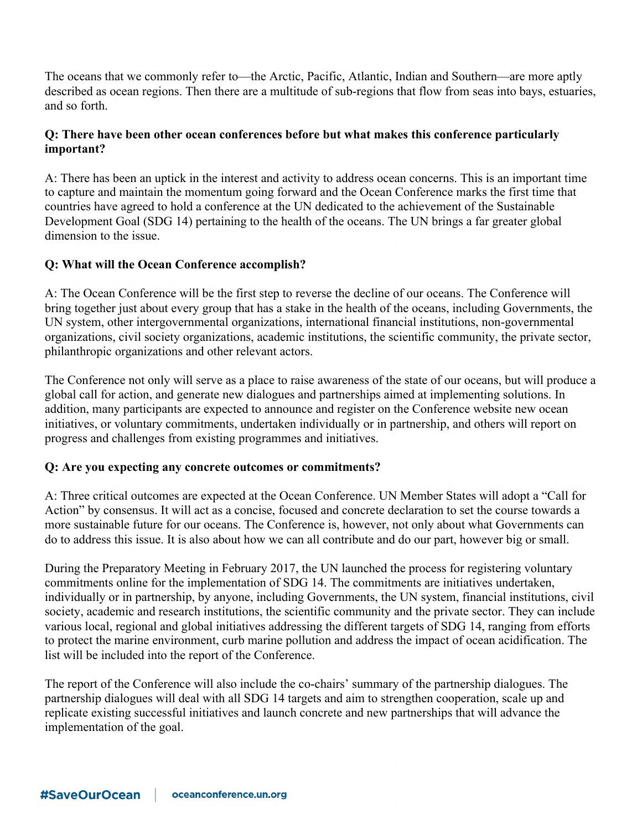The oceans that we commonly refer to—the Arctic, Pacific, Atlantic, Indian and Southern—are more aptly described as ocean regions. Then there are a multitude of sub-regions that flow from seas into bays, estuaries, and so forth.

## **Q: There have been other ocean conferences before but what makes this conference particularly important?**

A: There has been an uptick in the interest and activity to address ocean concerns. This is an important time to capture and maintain the momentum going forward and the Ocean Conference marks the first time that countries have agreed to hold a conference at the UN dedicated to the achievement of the Sustainable Development Goal (SDG 14) pertaining to the health of the oceans. The UN brings a far greater global dimension to the issue.

# **Q: What will the Ocean Conference accomplish?**

A: The Ocean Conference will be the first step to reverse the decline of our oceans. The Conference will bring together just about every group that has a stake in the health of the oceans, including Governments, the UN system, other intergovernmental organizations, international financial institutions, non-governmental organizations, civil society organizations, academic institutions, the scientific community, the private sector, philanthropic organizations and other relevant actors.

The Conference not only will serve as a place to raise awareness of the state of our oceans, but will produce a global call for action, and generate new dialogues and partnerships aimed at implementing solutions. In addition, many participants are expected to announce and register on the Conference website new ocean initiatives, or voluntary commitments, undertaken individually or in partnership, and others will report on progress and challenges from existing programmes and initiatives.

# **Q: Are you expecting any concrete outcomes or commitments?**

A: Three critical outcomes are expected at the Ocean Conference. UN Member States will adopt a "Call for Action" by consensus. It will act as a concise, focused and concrete declaration to set the course towards a more sustainable future for our oceans. The Conference is, however, not only about what Governments can do to address this issue. It is also about how we can all contribute and do our part, however big or small.

During the Preparatory Meeting in February 2017, the UN launched the process for registering voluntary commitments online for the implementation of SDG 14. The commitments are initiatives undertaken, individually or in partnership, by anyone, including Governments, the UN system, financial institutions, civil society, academic and research institutions, the scientific community and the private sector. They can include various local, regional and global initiatives addressing the different targets of SDG 14, ranging from efforts to protect the marine environment, curb marine pollution and address the impact of ocean acidification. The list will be included into the report of the Conference.

The report of the Conference will also include the co-chairs' summary of the partnership dialogues. The partnership dialogues will deal with all SDG 14 targets and aim to strengthen cooperation, scale up and replicate existing successful initiatives and launch concrete and new partnerships that will advance the implementation of the goal.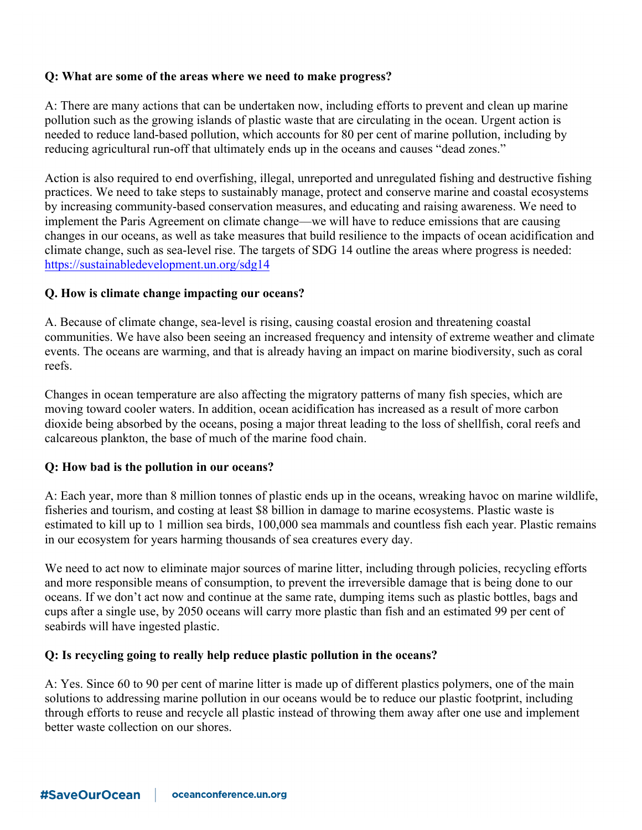## **Q: What are some of the areas where we need to make progress?**

A: There are many actions that can be undertaken now, including efforts to prevent and clean up marine pollution such as the growing islands of plastic waste that are circulating in the ocean. Urgent action is needed to reduce land-based pollution, which accounts for 80 per cent of marine pollution, including by reducing agricultural run-off that ultimately ends up in the oceans and causes "dead zones."

Action is also required to end overfishing, illegal, unreported and unregulated fishing and destructive fishing practices. We need to take steps to sustainably manage, protect and conserve marine and coastal ecosystems by increasing community-based conservation measures, and educating and raising awareness. We need to implement the Paris Agreement on climate change—we will have to reduce emissions that are causing changes in our oceans, as well as take measures that build resilience to the impacts of ocean acidification and climate change, such as sea-level rise. The targets of SDG 14 outline the areas where progress is needed: https://sustainabledevelopment.un.org/sdg14

### **Q. How is climate change impacting our oceans?**

A. Because of climate change, sea-level is rising, causing coastal erosion and threatening coastal communities. We have also been seeing an increased frequency and intensity of extreme weather and climate events. The oceans are warming, and that is already having an impact on marine biodiversity, such as coral reefs.

Changes in ocean temperature are also affecting the migratory patterns of many fish species, which are moving toward cooler waters. In addition, ocean acidification has increased as a result of more carbon dioxide being absorbed by the oceans, posing a major threat leading to the loss of shellfish, coral reefs and calcareous plankton, the base of much of the marine food chain.

## **Q: How bad is the pollution in our oceans?**

A: Each year, more than 8 million tonnes of plastic ends up in the oceans, wreaking havoc on marine wildlife, fisheries and tourism, and costing at least \$8 billion in damage to marine ecosystems. Plastic waste is estimated to kill up to 1 million sea birds, 100,000 sea mammals and countless fish each year. Plastic remains in our ecosystem for years harming thousands of sea creatures every day.

We need to act now to eliminate major sources of marine litter, including through policies, recycling efforts and more responsible means of consumption, to prevent the irreversible damage that is being done to our oceans. If we don't act now and continue at the same rate, dumping items such as plastic bottles, bags and cups after a single use, by 2050 oceans will carry more plastic than fish and an estimated 99 per cent of seabirds will have ingested plastic.

#### **Q: Is recycling going to really help reduce plastic pollution in the oceans?**

A: Yes. Since 60 to 90 per cent of marine litter is made up of different plastics polymers, one of the main solutions to addressing marine pollution in our oceans would be to reduce our plastic footprint, including through efforts to reuse and recycle all plastic instead of throwing them away after one use and implement better waste collection on our shores.